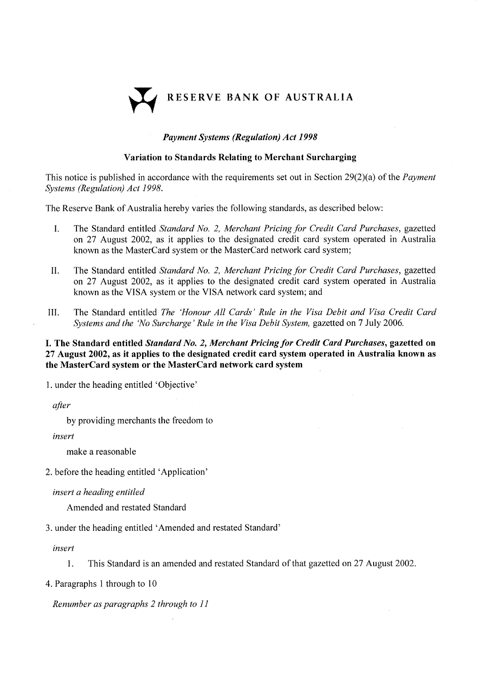

### Payment Systems (Regulatíon) Act <sup>1998</sup>

#### Variation to Standards Relating to Merchant Surcharging

This notice is published in accordance with the requirements set out in Section 29(2)(a) of the *Payment* Systems (Regulation) Act 1998.

The Reserve Bank of Australia hereby varies the following standards, as described below:

- L The Standard entitled Standard No. 2, Merchant Pricing for Credit Card Purchases, gazetted on 27 August 2002, as it applies to the designated credit card system operated in Australia known as the MasterCard system or the MasterCard network card system;
- II. The Standard entitled Standard No. 2, Merchant Pricing for Credit Card Purchases, gazetted on 27 August 2002, as it applies to the designated credit card system operated in Australia known as the VISA system or the VISA network card system; and
- III. The Standard entitled The 'Honour All Cards' Rule in rhe Visa Debit and Visa Credit Card Systems and the 'No Surcharge' Rule in the Visa Debit System, gazetted on 7 July 2006.

I. The Standard entitled Standard No. 2, Merchant Pricing for Credit Card Purchases, gazetted on <sup>27</sup>August 2002, as it applies to the designated credit card system operated in Australia known as the MasterCard system or the MasterCard network card system

1. under the heading entitled 'Objective'

after

by providing merchants the freedom to

insert

make a reasonable

2. before the heading entitled 'Application'

insert a heading entitled

Amended and restated Standard

3. under the heading entitled 'Amended and restated Standard'

insert

l. This Standard is an amended and restated Standard of that gazetted on27 August 2002.

4.Paragraphs I through to l0

Renumber as paragraphs 2 through to I I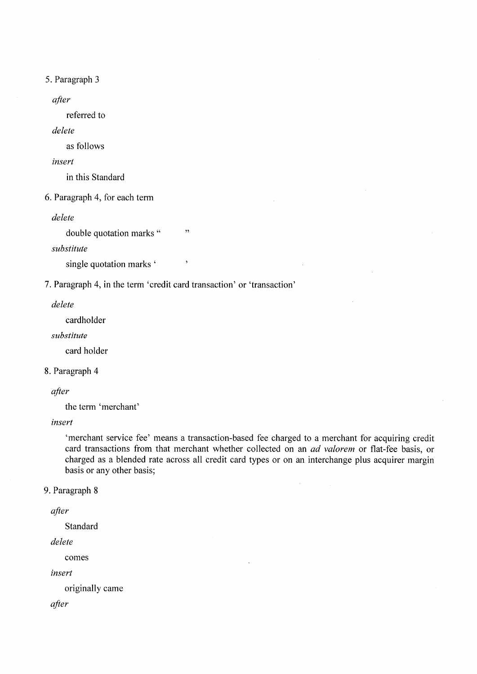5. Paragraph <sup>3</sup>

after

referred to

delete

as follows

inserl

in this Standard

6.Paragraph 4, for each term

delete

double quotation marks "
"

substitute

single quotation marks '

7. Paragraph 4, in the term 'credit card transaction' or 'transaction'

delete

cardholder

substitute

card holder

#### 8. Paragraph 4

after

the term 'merchant'

insert

'merchant service fee' means a transaction-based fee charged to a merchant for acquiring credit card transactions from that merchant whether collected on an *ad valorem* or flat-fee basis, or charged as a blended rate across all credit card types or on an interchange plus acquirer margin basis or any other basis;

### 9. Paragraph <sup>8</sup>

```
after
```
Standard

delete

comes

insert

originally came

after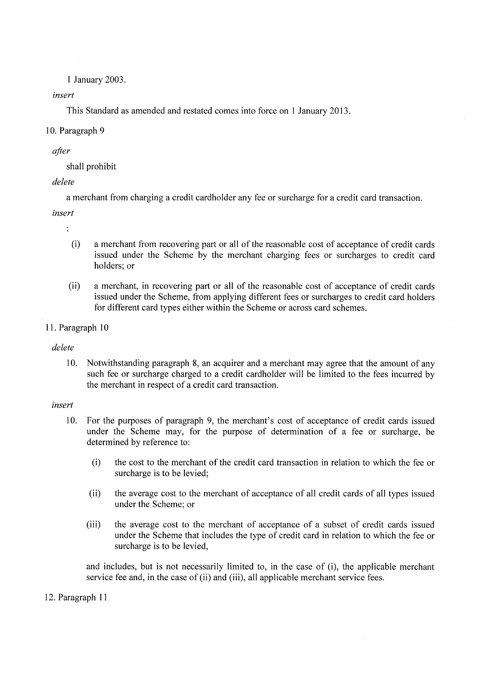I January 2003.

#### insert

This Standard as amended and restated comes into force on 1 January 2013.

#### 10. Paragraph <sup>9</sup>

#### after

shall prohibit

## delete

<sup>a</sup>merchant from charging a credit cardholder any fee or surcharge for a credit card transaction.

insert

- $\ddot{\cdot}$ 
	- (i) a merchant from recovering part or all of the reasonable cost of acceptance of credit cards issued under the Scheme by the merchant charging fees or surcharges to credit card holders; or
- (ii) a merchant, in recovering part or all of the reasonable cost of acceptance of credit cards issued under the Scheme, from applying different fees or surcharges to credit card holders for different card types either within the Scheme or across card schemes.

# 11. Paragraph 10

## delete

10. Notwithstanding paragraph 8, an acquirer and a merchant may agree that the amount of any such fee or surcharge charged to a credit cardholder will be limited to the fees incurred by the merchant in respect of a credit card transaction.

#### insert

- 10. For the purposes of paragraph 9, the merchant's cost of acceptance of credit cards issued under the Scheme may, for the purpose of determination of a fee or surcharge, be determined by reference to:
	- (i) the cost to the merchant of the credit card transaction in relation to which the fee or surcharge is to be levied;
	- (ii) the average cost to the merchant of acceptance of all credit cards of all types issued under the Scheme; or
	- (iii) the average cost to the merchant of acceptance of a subset of credit cards issued under the Scheme that includes the type of credit card in relation to which the fee or surcharge is to be levied,

and includes, but is not necessarily limited to, in the case of (i), the applicable merchant service fee and, in the case of (ii) and (iii), all applicable merchant service fees.

## 12. Paragraph 11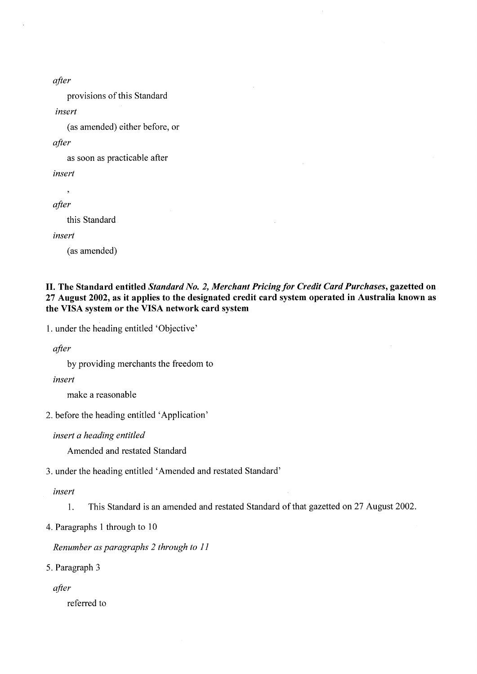after

provisions of this Standard

insert

(as amended) either before, or

after

as soon as practicable after

insert

 $\overline{\phantom{a}}$ 

after

this Standard

insert

(as amended)

## II. The Standard entitled Standørd No. 2, Merchant Pricing for Credít Card Purchases, gazetted on <sup>27</sup>August 2002, as it applies to the designated credit card system operated in Australia known as the VISA system or the VISA network card system

l. under the heading entitled 'Objective'

after

by providing merchants the freedom to

insert

make a reasonable

2. before the heading entitled 'Application'

insert a heading entitled

Amended and restated Standard

3. under the heading entitled 'Amended and restated Standard'

inserl

1. This Standard is an amended and restated Standard of that gazetted on 27 August 2002.

4.Paragraphs 1 through to l0

Renumber as paragraphs 2 through to I I

5. Paragraph <sup>3</sup>

after

referred to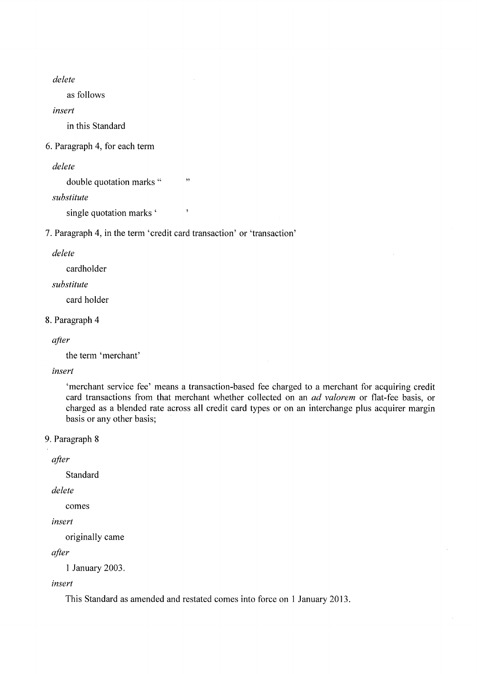delete

as follows

insert

in this Standard

6.Paragraph 4, for each term

delete

double quotation marks "
"

substitute

single quotation marks '

<sup>7</sup>. Paragraph 4, in the term 'credit card transaction' or 'transaction'

delete

cardholder

substitute

card holder

### S.Paragraph <sup>4</sup>

```
after
```
the term 'merchant'

insert

'merchant service fee' means a transaction-based fee charged to a merchant for acquiring credit card transactions from that merchant whether collected on an *ad valorem* or flat-fee basis, or charged as a blended rate across all credit card types or on an interchange plus acquirer margin basis or any other basis;

9. Paragraph <sup>8</sup>

after

Standard

delete

comes

```
insert
```
originally came

after

<sup>1</sup>January 2003.

#### insert

This Standard as amended and restated comes into force on I January 2013.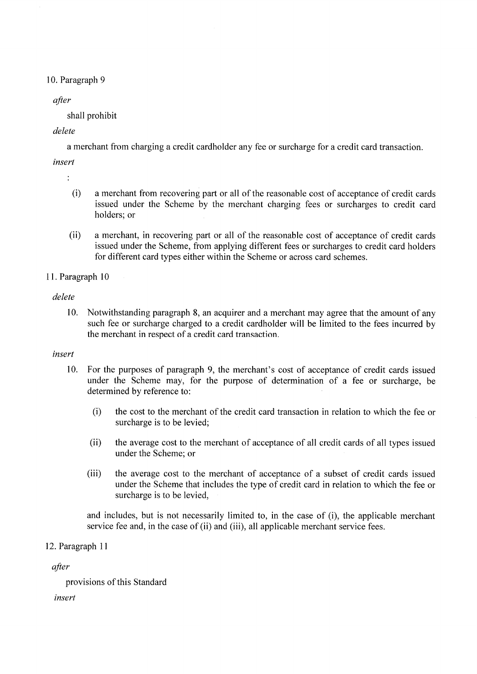## 10. Paragraph <sup>9</sup>

# after

shall prohibit

# delete

<sup>a</sup>merchant from charging a credit cardholder any fee or surcharge for a credit card transaction.

# insert

÷

- (i) a merchant from recovering part or all of the reasonable cost of acceptance of credit cards issued under the Scheme by the merchant charging fees or surcharges to credit card holders; or
- (ii) a merchant, in recovering part or all of the reasonable cost of acceptance of credit cards issued under the Scheme, from applying different fees or surcharges to credit card holders for different card types either within the Scheme or across card schemes.

# 11. Paragraph 10

# delete

10. Notwithstanding paragraph 8, an acquirer and a merchant may agree that the amount of any such fee or surcharge charged to a credit cardholder will be limited to the fees incurred by the merchant in respect of a credit card transaction.

## insert

- 10. For the purposes of paragraph 9, the merchant's cost of acceptance of credit cards issued under the Scheme may, for the purpose of determination of a fee or surcharge, be determined by reference to:
	- (i) the cost to the merchant of the credit card transaction in relation to which the fee or surcharge is to be levied;
	- (ii) the average cost to the merchant of acceptance of all credit cards of all types issued under the Scheme; or
	- (iii) the average cost to the merchant of acceptance of a subset of credit cards issued under the Scheme that includes the type of credit card in relation to which the fee or surcharge is to be levied,

and includes, but is not necessarily limited to, in the case of (i), the applicable merchant service fee and, in the case of (ii) and (iii), all applicable merchant service fees.

## 12. Paragraph I <sup>1</sup>

after

provisions of this Standard

insert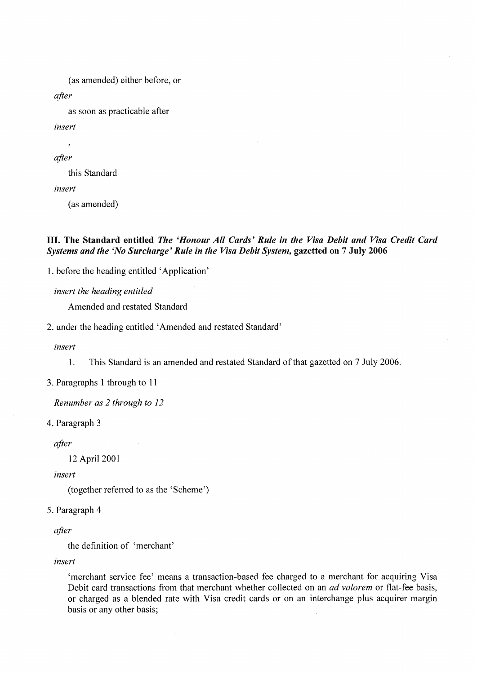```
(as amended) either before, or
after
    as soon as practicable after
insert
    \overline{\phantom{a}}after
    this Standard
insert
    (as amended)
```
## III. The Standard entitled The 'Honour All Cards' Rule in the Visa Debit and Visa Credit Card Systems and the 'No Surcharge' Rule in the Visa Debit System, gazetted on 7 July 2006

l. before the heading entitled 'Application'

insert the heading entitled

Amended and restated Standard

2. under the heading entitled 'Amended and restated Standard'

insert

l. This Standard is an amended and restated Standard of that gazetted on 7 July 2006.

3. Paragraphs I through to I <sup>I</sup>

Renumber as 2 through to <sup>12</sup>

4. Paragraph 3

after

l2 April <sup>2001</sup>

insert

(together referred to as the 'Scheme')

5. Paragraph <sup>4</sup>

after

the definition of 'merchant'

insert

'merchant service fee' means a transaction-based fee charged to a merchant for acquiring Visa Debit card transactions from that merchant whether collected on an *ad valorem* or flat-fee basis, or charged as a blended rate with Visa credit cards or on an interchange plus acquirer margin basis or any other basis;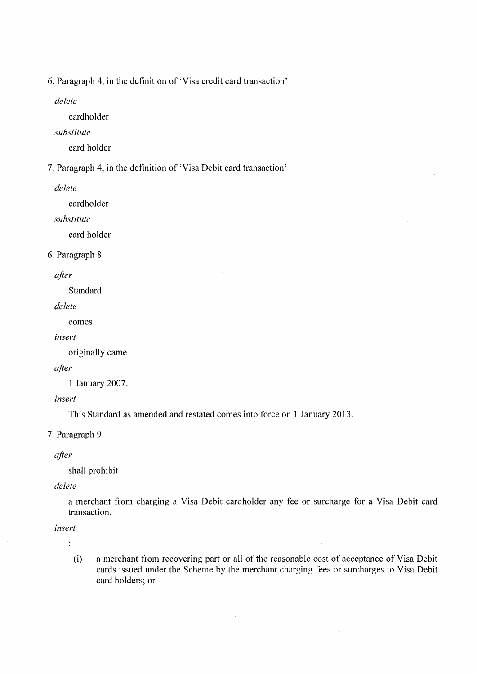6.Paragraph 4, in the definition of 'Visa credit card transaction'

delete

cardholder

substitute

card holder

T.Paragraph 4, in the definition of 'Visa Debit card transaction'

delete

cardholder

substitute

card holder

#### 6. Paragraph <sup>8</sup>

after

Standard

delete

comes

insert

originally came

after

I January 2007.

insert

This Standard as amended and restated comes into force on I January 2013.

7. Paragraph 9

after

shall prohibit

delete

<sup>a</sup>merchant from charging a Visa Debit cardholder any fee or surcharge for a Visa Debit card transaction.

 $\hat{\mathcal{L}}$ 

insert

 $\ddot{\cdot}$ 

(i) a merchant from recovering part or all of the reasonable cost of acceptance of Visa Debit cards issued under the Scheme by the merchant charging fees or surcharges to Visa Debit card holders; or

 $\sim$ 

 $\bar{A}$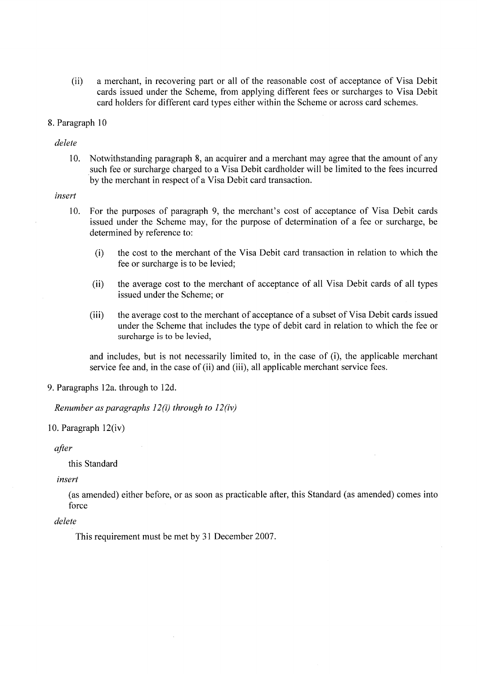(ii) a merchant, in recovering part or all of the reasonable cost of acceptance of Visa Debit cards issued under the Scheme, from applying different fees or surcharges to Visa Debit card holders for different card types either within the Scheme or across card schemes.

#### 8. Paragraph l0

delete

10. Notwithstanding paragraph 8, an acquirer and a merchant may agree that the amount of any such fee or surcharge charged to a Visa Debit cardholder will be limited to the fees incurred by the merchant in respect of a Visa Debit card transaction.

#### insert

- 10. For the purposes of paragraph 9, the merchant's cost of acceptance of Visa Debit cards issued under the Scheme may, for the purpose of determination of a fee or surcharge, be determined by reference to:
	- (i) the cost to the merchant of the Visa Debit card transaction in relation to which the fee or surcharge is to be levied;
	- (ii) the average cost to the merchant of acceptance of all Visa Debit cards of all types issued under the Scheme; or
	- (iii) the average cost to the merchant of acceptance of a subset of Visa Debit cards issued under the Scheme that includes the type of debit card in relation to which the fee or surcharge is to be levied,

and includes, but is not necessarily limited to, in the case of (i), the applicable merchant service fee and, in the case of (ii) and (iii), all applicable merchant service fees.

9.Paragraphs l2a. through to l2d.

Renumber as paragraphs  $12(i)$  through to  $12(iv)$ 

#### 10. Paragraph 12(iv)

after

this Standard

insert

(as amended) either before, or as soon as practicable after, this Standard (as amended) comes into force

delete

This requirement must be met by 3l December 2007 .